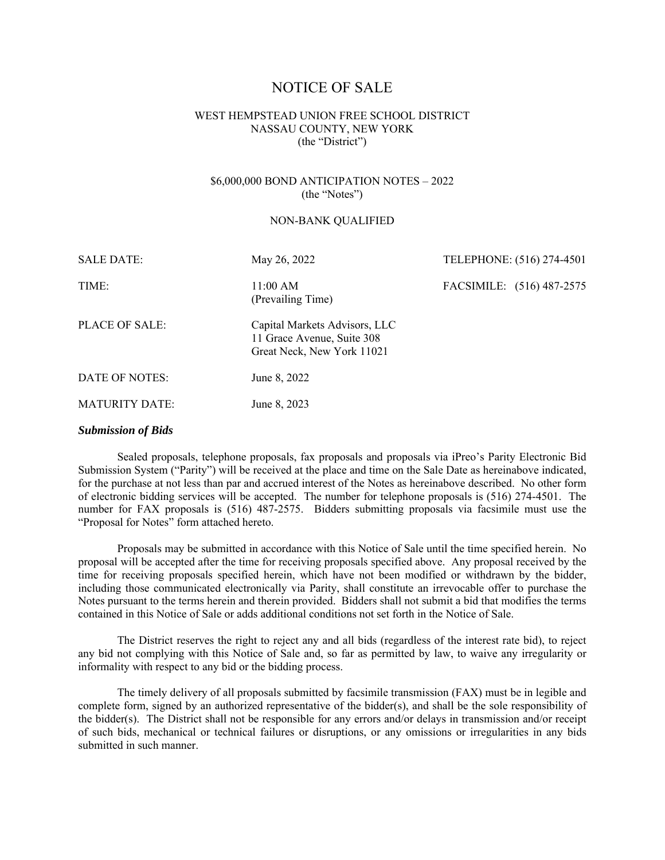# NOTICE OF SALE

# WEST HEMPSTEAD UNION FREE SCHOOL DISTRICT NASSAU COUNTY, NEW YORK (the "District")

# \$6,000,000 BOND ANTICIPATION NOTES – 2022 (the "Notes")

## NON-BANK QUALIFIED

| <b>SALE DATE:</b>     | May 26, 2022                                                                              | TELEPHONE: (516) 274-4501 |
|-----------------------|-------------------------------------------------------------------------------------------|---------------------------|
| TIME:                 | 11:00 AM<br>(Prevailing Time)                                                             | FACSIMILE: (516) 487-2575 |
| PLACE OF SALE:        | Capital Markets Advisors, LLC<br>11 Grace Avenue, Suite 308<br>Great Neck, New York 11021 |                           |
| DATE OF NOTES:        | June 8, 2022                                                                              |                           |
| <b>MATURITY DATE:</b> | June 8, 2023                                                                              |                           |
|                       |                                                                                           |                           |

# *Submission of Bids*

Sealed proposals, telephone proposals, fax proposals and proposals via iPreo's Parity Electronic Bid Submission System ("Parity") will be received at the place and time on the Sale Date as hereinabove indicated, for the purchase at not less than par and accrued interest of the Notes as hereinabove described. No other form of electronic bidding services will be accepted. The number for telephone proposals is (516) 274-4501. The number for FAX proposals is (516) 487-2575. Bidders submitting proposals via facsimile must use the "Proposal for Notes" form attached hereto.

Proposals may be submitted in accordance with this Notice of Sale until the time specified herein. No proposal will be accepted after the time for receiving proposals specified above. Any proposal received by the time for receiving proposals specified herein, which have not been modified or withdrawn by the bidder, including those communicated electronically via Parity, shall constitute an irrevocable offer to purchase the Notes pursuant to the terms herein and therein provided. Bidders shall not submit a bid that modifies the terms contained in this Notice of Sale or adds additional conditions not set forth in the Notice of Sale.

The District reserves the right to reject any and all bids (regardless of the interest rate bid), to reject any bid not complying with this Notice of Sale and, so far as permitted by law, to waive any irregularity or informality with respect to any bid or the bidding process.

The timely delivery of all proposals submitted by facsimile transmission (FAX) must be in legible and complete form, signed by an authorized representative of the bidder(s), and shall be the sole responsibility of the bidder(s). The District shall not be responsible for any errors and/or delays in transmission and/or receipt of such bids, mechanical or technical failures or disruptions, or any omissions or irregularities in any bids submitted in such manner.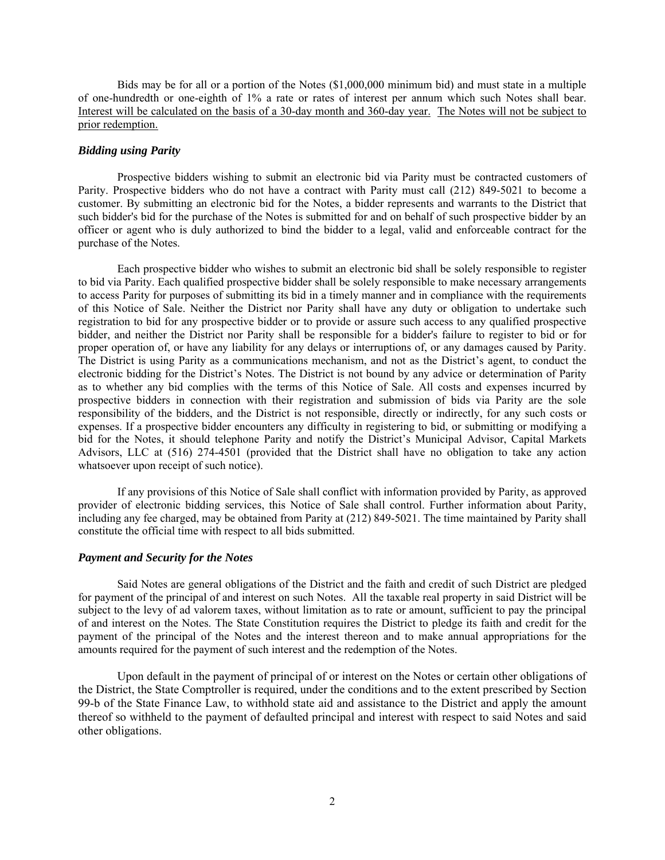Bids may be for all or a portion of the Notes (\$1,000,000 minimum bid) and must state in a multiple of one-hundredth or one-eighth of 1% a rate or rates of interest per annum which such Notes shall bear. Interest will be calculated on the basis of a 30-day month and 360-day year. The Notes will not be subject to prior redemption.

# *Bidding using Parity*

Prospective bidders wishing to submit an electronic bid via Parity must be contracted customers of Parity. Prospective bidders who do not have a contract with Parity must call (212) 849-5021 to become a customer. By submitting an electronic bid for the Notes, a bidder represents and warrants to the District that such bidder's bid for the purchase of the Notes is submitted for and on behalf of such prospective bidder by an officer or agent who is duly authorized to bind the bidder to a legal, valid and enforceable contract for the purchase of the Notes.

Each prospective bidder who wishes to submit an electronic bid shall be solely responsible to register to bid via Parity. Each qualified prospective bidder shall be solely responsible to make necessary arrangements to access Parity for purposes of submitting its bid in a timely manner and in compliance with the requirements of this Notice of Sale. Neither the District nor Parity shall have any duty or obligation to undertake such registration to bid for any prospective bidder or to provide or assure such access to any qualified prospective bidder, and neither the District nor Parity shall be responsible for a bidder's failure to register to bid or for proper operation of, or have any liability for any delays or interruptions of, or any damages caused by Parity. The District is using Parity as a communications mechanism, and not as the District's agent, to conduct the electronic bidding for the District's Notes. The District is not bound by any advice or determination of Parity as to whether any bid complies with the terms of this Notice of Sale. All costs and expenses incurred by prospective bidders in connection with their registration and submission of bids via Parity are the sole responsibility of the bidders, and the District is not responsible, directly or indirectly, for any such costs or expenses. If a prospective bidder encounters any difficulty in registering to bid, or submitting or modifying a bid for the Notes, it should telephone Parity and notify the District's Municipal Advisor, Capital Markets Advisors, LLC at (516) 274-4501 (provided that the District shall have no obligation to take any action whatsoever upon receipt of such notice).

If any provisions of this Notice of Sale shall conflict with information provided by Parity, as approved provider of electronic bidding services, this Notice of Sale shall control. Further information about Parity, including any fee charged, may be obtained from Parity at (212) 849-5021. The time maintained by Parity shall constitute the official time with respect to all bids submitted.

## *Payment and Security for the Notes*

Said Notes are general obligations of the District and the faith and credit of such District are pledged for payment of the principal of and interest on such Notes. All the taxable real property in said District will be subject to the levy of ad valorem taxes, without limitation as to rate or amount, sufficient to pay the principal of and interest on the Notes. The State Constitution requires the District to pledge its faith and credit for the payment of the principal of the Notes and the interest thereon and to make annual appropriations for the amounts required for the payment of such interest and the redemption of the Notes.

Upon default in the payment of principal of or interest on the Notes or certain other obligations of the District, the State Comptroller is required, under the conditions and to the extent prescribed by Section 99-b of the State Finance Law, to withhold state aid and assistance to the District and apply the amount thereof so withheld to the payment of defaulted principal and interest with respect to said Notes and said other obligations.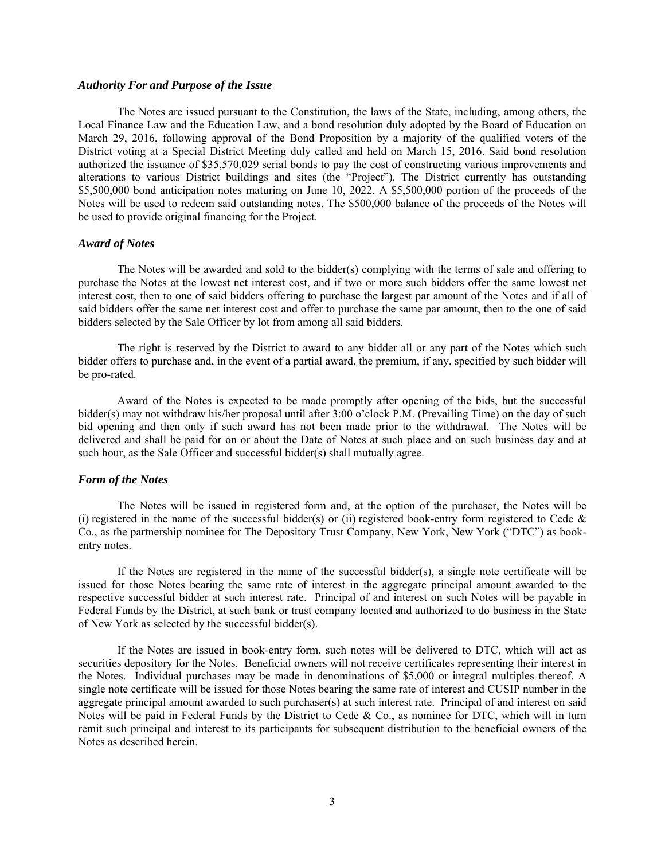#### *Authority For and Purpose of the Issue*

The Notes are issued pursuant to the Constitution, the laws of the State, including, among others, the Local Finance Law and the Education Law, and a bond resolution duly adopted by the Board of Education on March 29, 2016, following approval of the Bond Proposition by a majority of the qualified voters of the District voting at a Special District Meeting duly called and held on March 15, 2016. Said bond resolution authorized the issuance of \$35,570,029 serial bonds to pay the cost of constructing various improvements and alterations to various District buildings and sites (the "Project"). The District currently has outstanding \$5,500,000 bond anticipation notes maturing on June 10, 2022. A \$5,500,000 portion of the proceeds of the Notes will be used to redeem said outstanding notes. The \$500,000 balance of the proceeds of the Notes will be used to provide original financing for the Project.

## *Award of Notes*

The Notes will be awarded and sold to the bidder(s) complying with the terms of sale and offering to purchase the Notes at the lowest net interest cost, and if two or more such bidders offer the same lowest net interest cost, then to one of said bidders offering to purchase the largest par amount of the Notes and if all of said bidders offer the same net interest cost and offer to purchase the same par amount, then to the one of said bidders selected by the Sale Officer by lot from among all said bidders.

The right is reserved by the District to award to any bidder all or any part of the Notes which such bidder offers to purchase and, in the event of a partial award, the premium, if any, specified by such bidder will be pro-rated.

Award of the Notes is expected to be made promptly after opening of the bids, but the successful bidder(s) may not withdraw his/her proposal until after 3:00 o'clock P.M. (Prevailing Time) on the day of such bid opening and then only if such award has not been made prior to the withdrawal. The Notes will be delivered and shall be paid for on or about the Date of Notes at such place and on such business day and at such hour, as the Sale Officer and successful bidder(s) shall mutually agree.

#### *Form of the Notes*

The Notes will be issued in registered form and, at the option of the purchaser, the Notes will be (i) registered in the name of the successful bidder(s) or (ii) registered book-entry form registered to Cede  $\&$ Co., as the partnership nominee for The Depository Trust Company, New York, New York ("DTC") as bookentry notes.

If the Notes are registered in the name of the successful bidder(s), a single note certificate will be issued for those Notes bearing the same rate of interest in the aggregate principal amount awarded to the respective successful bidder at such interest rate. Principal of and interest on such Notes will be payable in Federal Funds by the District, at such bank or trust company located and authorized to do business in the State of New York as selected by the successful bidder(s).

If the Notes are issued in book-entry form, such notes will be delivered to DTC, which will act as securities depository for the Notes. Beneficial owners will not receive certificates representing their interest in the Notes. Individual purchases may be made in denominations of \$5,000 or integral multiples thereof. A single note certificate will be issued for those Notes bearing the same rate of interest and CUSIP number in the aggregate principal amount awarded to such purchaser(s) at such interest rate. Principal of and interest on said Notes will be paid in Federal Funds by the District to Cede & Co., as nominee for DTC, which will in turn remit such principal and interest to its participants for subsequent distribution to the beneficial owners of the Notes as described herein.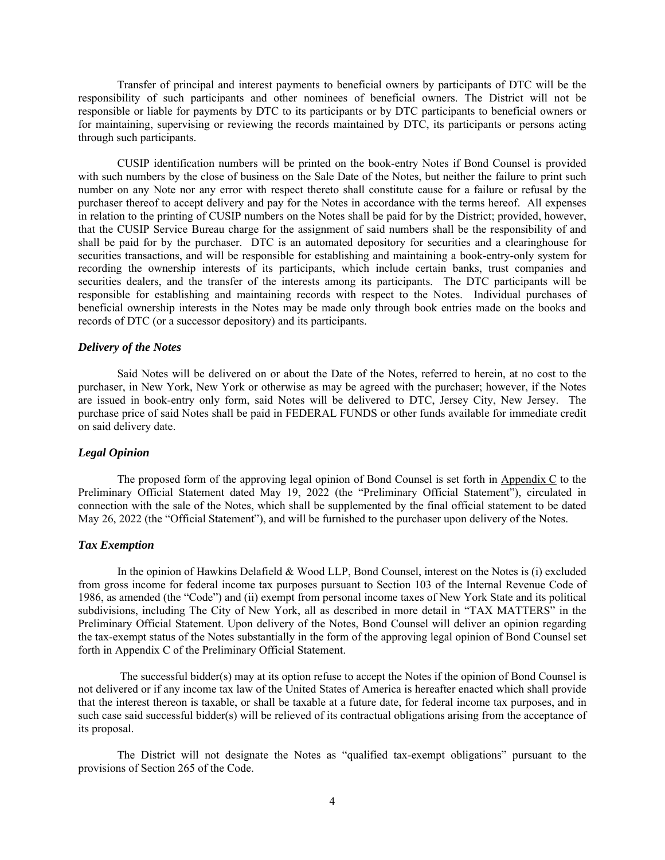Transfer of principal and interest payments to beneficial owners by participants of DTC will be the responsibility of such participants and other nominees of beneficial owners. The District will not be responsible or liable for payments by DTC to its participants or by DTC participants to beneficial owners or for maintaining, supervising or reviewing the records maintained by DTC, its participants or persons acting through such participants.

CUSIP identification numbers will be printed on the book-entry Notes if Bond Counsel is provided with such numbers by the close of business on the Sale Date of the Notes, but neither the failure to print such number on any Note nor any error with respect thereto shall constitute cause for a failure or refusal by the purchaser thereof to accept delivery and pay for the Notes in accordance with the terms hereof. All expenses in relation to the printing of CUSIP numbers on the Notes shall be paid for by the District; provided, however, that the CUSIP Service Bureau charge for the assignment of said numbers shall be the responsibility of and shall be paid for by the purchaser. DTC is an automated depository for securities and a clearinghouse for securities transactions, and will be responsible for establishing and maintaining a book-entry-only system for recording the ownership interests of its participants, which include certain banks, trust companies and securities dealers, and the transfer of the interests among its participants. The DTC participants will be responsible for establishing and maintaining records with respect to the Notes. Individual purchases of beneficial ownership interests in the Notes may be made only through book entries made on the books and records of DTC (or a successor depository) and its participants.

## *Delivery of the Notes*

Said Notes will be delivered on or about the Date of the Notes, referred to herein, at no cost to the purchaser, in New York, New York or otherwise as may be agreed with the purchaser; however, if the Notes are issued in book-entry only form, said Notes will be delivered to DTC, Jersey City, New Jersey. The purchase price of said Notes shall be paid in FEDERAL FUNDS or other funds available for immediate credit on said delivery date.

## *Legal Opinion*

The proposed form of the approving legal opinion of Bond Counsel is set forth in Appendix C to the Preliminary Official Statement dated May 19, 2022 (the "Preliminary Official Statement"), circulated in connection with the sale of the Notes, which shall be supplemented by the final official statement to be dated May 26, 2022 (the "Official Statement"), and will be furnished to the purchaser upon delivery of the Notes.

#### *Tax Exemption*

In the opinion of Hawkins Delafield & Wood LLP, Bond Counsel, interest on the Notes is (i) excluded from gross income for federal income tax purposes pursuant to Section 103 of the Internal Revenue Code of 1986, as amended (the "Code") and (ii) exempt from personal income taxes of New York State and its political subdivisions, including The City of New York, all as described in more detail in "TAX MATTERS" in the Preliminary Official Statement. Upon delivery of the Notes, Bond Counsel will deliver an opinion regarding the tax-exempt status of the Notes substantially in the form of the approving legal opinion of Bond Counsel set forth in Appendix C of the Preliminary Official Statement.

 The successful bidder(s) may at its option refuse to accept the Notes if the opinion of Bond Counsel is not delivered or if any income tax law of the United States of America is hereafter enacted which shall provide that the interest thereon is taxable, or shall be taxable at a future date, for federal income tax purposes, and in such case said successful bidder(s) will be relieved of its contractual obligations arising from the acceptance of its proposal.

The District will not designate the Notes as "qualified tax-exempt obligations" pursuant to the provisions of Section 265 of the Code.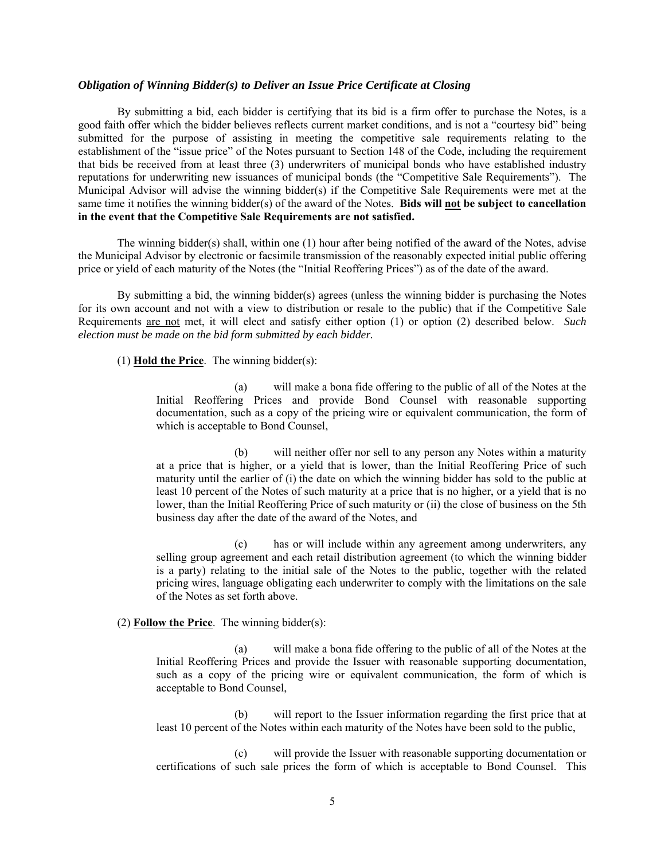## *Obligation of Winning Bidder(s) to Deliver an Issue Price Certificate at Closing*

By submitting a bid, each bidder is certifying that its bid is a firm offer to purchase the Notes, is a good faith offer which the bidder believes reflects current market conditions, and is not a "courtesy bid" being submitted for the purpose of assisting in meeting the competitive sale requirements relating to the establishment of the "issue price" of the Notes pursuant to Section 148 of the Code, including the requirement that bids be received from at least three (3) underwriters of municipal bonds who have established industry reputations for underwriting new issuances of municipal bonds (the "Competitive Sale Requirements"). The Municipal Advisor will advise the winning bidder(s) if the Competitive Sale Requirements were met at the same time it notifies the winning bidder(s) of the award of the Notes. **Bids will not be subject to cancellation in the event that the Competitive Sale Requirements are not satisfied.**

The winning bidder(s) shall, within one (1) hour after being notified of the award of the Notes, advise the Municipal Advisor by electronic or facsimile transmission of the reasonably expected initial public offering price or yield of each maturity of the Notes (the "Initial Reoffering Prices") as of the date of the award.

By submitting a bid, the winning bidder(s) agrees (unless the winning bidder is purchasing the Notes for its own account and not with a view to distribution or resale to the public) that if the Competitive Sale Requirements are not met, it will elect and satisfy either option (1) or option (2) described below. *Such election must be made on the bid form submitted by each bidder.*

(1) **Hold the Price**. The winning bidder(s):

(a) will make a bona fide offering to the public of all of the Notes at the Initial Reoffering Prices and provide Bond Counsel with reasonable supporting documentation, such as a copy of the pricing wire or equivalent communication, the form of which is acceptable to Bond Counsel,

(b) will neither offer nor sell to any person any Notes within a maturity at a price that is higher, or a yield that is lower, than the Initial Reoffering Price of such maturity until the earlier of (i) the date on which the winning bidder has sold to the public at least 10 percent of the Notes of such maturity at a price that is no higher, or a yield that is no lower, than the Initial Reoffering Price of such maturity or (ii) the close of business on the 5th business day after the date of the award of the Notes, and

(c) has or will include within any agreement among underwriters, any selling group agreement and each retail distribution agreement (to which the winning bidder is a party) relating to the initial sale of the Notes to the public, together with the related pricing wires, language obligating each underwriter to comply with the limitations on the sale of the Notes as set forth above.

# (2) **Follow the Price**. The winning bidder(s):

(a) will make a bona fide offering to the public of all of the Notes at the Initial Reoffering Prices and provide the Issuer with reasonable supporting documentation, such as a copy of the pricing wire or equivalent communication, the form of which is acceptable to Bond Counsel,

(b) will report to the Issuer information regarding the first price that at least 10 percent of the Notes within each maturity of the Notes have been sold to the public,

(c) will provide the Issuer with reasonable supporting documentation or certifications of such sale prices the form of which is acceptable to Bond Counsel. This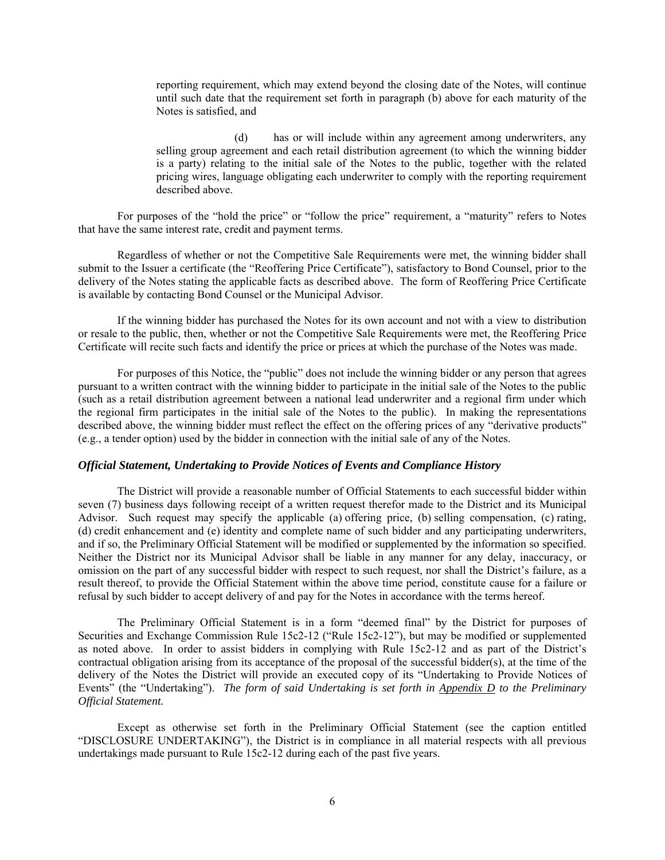reporting requirement, which may extend beyond the closing date of the Notes, will continue until such date that the requirement set forth in paragraph (b) above for each maturity of the Notes is satisfied, and

(d) has or will include within any agreement among underwriters, any selling group agreement and each retail distribution agreement (to which the winning bidder is a party) relating to the initial sale of the Notes to the public, together with the related pricing wires, language obligating each underwriter to comply with the reporting requirement described above.

For purposes of the "hold the price" or "follow the price" requirement, a "maturity" refers to Notes that have the same interest rate, credit and payment terms.

Regardless of whether or not the Competitive Sale Requirements were met, the winning bidder shall submit to the Issuer a certificate (the "Reoffering Price Certificate"), satisfactory to Bond Counsel, prior to the delivery of the Notes stating the applicable facts as described above. The form of Reoffering Price Certificate is available by contacting Bond Counsel or the Municipal Advisor.

If the winning bidder has purchased the Notes for its own account and not with a view to distribution or resale to the public, then, whether or not the Competitive Sale Requirements were met, the Reoffering Price Certificate will recite such facts and identify the price or prices at which the purchase of the Notes was made.

For purposes of this Notice, the "public" does not include the winning bidder or any person that agrees pursuant to a written contract with the winning bidder to participate in the initial sale of the Notes to the public (such as a retail distribution agreement between a national lead underwriter and a regional firm under which the regional firm participates in the initial sale of the Notes to the public). In making the representations described above, the winning bidder must reflect the effect on the offering prices of any "derivative products" (e.g., a tender option) used by the bidder in connection with the initial sale of any of the Notes.

# *Official Statement, Undertaking to Provide Notices of Events and Compliance History*

The District will provide a reasonable number of Official Statements to each successful bidder within seven (7) business days following receipt of a written request therefor made to the District and its Municipal Advisor. Such request may specify the applicable (a) offering price, (b) selling compensation, (c) rating, (d) credit enhancement and (e) identity and complete name of such bidder and any participating underwriters, and if so, the Preliminary Official Statement will be modified or supplemented by the information so specified. Neither the District nor its Municipal Advisor shall be liable in any manner for any delay, inaccuracy, or omission on the part of any successful bidder with respect to such request, nor shall the District's failure, as a result thereof, to provide the Official Statement within the above time period, constitute cause for a failure or refusal by such bidder to accept delivery of and pay for the Notes in accordance with the terms hereof.

The Preliminary Official Statement is in a form "deemed final" by the District for purposes of Securities and Exchange Commission Rule 15c2-12 ("Rule 15c2-12"), but may be modified or supplemented as noted above. In order to assist bidders in complying with Rule 15c2-12 and as part of the District's contractual obligation arising from its acceptance of the proposal of the successful bidder(s), at the time of the delivery of the Notes the District will provide an executed copy of its "Undertaking to Provide Notices of Events" (the "Undertaking"). *The form of said Undertaking is set forth in Appendix D to the Preliminary Official Statement.*

Except as otherwise set forth in the Preliminary Official Statement (see the caption entitled "DISCLOSURE UNDERTAKING"), the District is in compliance in all material respects with all previous undertakings made pursuant to Rule 15c2-12 during each of the past five years.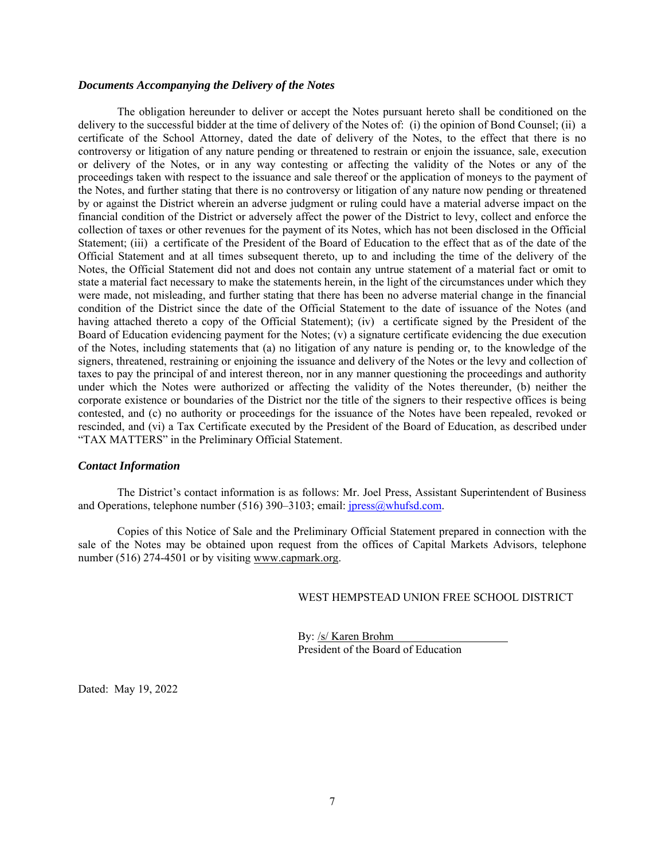# *Documents Accompanying the Delivery of the Notes*

The obligation hereunder to deliver or accept the Notes pursuant hereto shall be conditioned on the delivery to the successful bidder at the time of delivery of the Notes of: (i) the opinion of Bond Counsel; (ii) a certificate of the School Attorney, dated the date of delivery of the Notes, to the effect that there is no controversy or litigation of any nature pending or threatened to restrain or enjoin the issuance, sale, execution or delivery of the Notes, or in any way contesting or affecting the validity of the Notes or any of the proceedings taken with respect to the issuance and sale thereof or the application of moneys to the payment of the Notes, and further stating that there is no controversy or litigation of any nature now pending or threatened by or against the District wherein an adverse judgment or ruling could have a material adverse impact on the financial condition of the District or adversely affect the power of the District to levy, collect and enforce the collection of taxes or other revenues for the payment of its Notes, which has not been disclosed in the Official Statement; (iii) a certificate of the President of the Board of Education to the effect that as of the date of the Official Statement and at all times subsequent thereto, up to and including the time of the delivery of the Notes, the Official Statement did not and does not contain any untrue statement of a material fact or omit to state a material fact necessary to make the statements herein, in the light of the circumstances under which they were made, not misleading, and further stating that there has been no adverse material change in the financial condition of the District since the date of the Official Statement to the date of issuance of the Notes (and having attached thereto a copy of the Official Statement); (iv) a certificate signed by the President of the Board of Education evidencing payment for the Notes; (v) a signature certificate evidencing the due execution of the Notes, including statements that (a) no litigation of any nature is pending or, to the knowledge of the signers, threatened, restraining or enjoining the issuance and delivery of the Notes or the levy and collection of taxes to pay the principal of and interest thereon, nor in any manner questioning the proceedings and authority under which the Notes were authorized or affecting the validity of the Notes thereunder, (b) neither the corporate existence or boundaries of the District nor the title of the signers to their respective offices is being contested, and (c) no authority or proceedings for the issuance of the Notes have been repealed, revoked or rescinded, and (vi) a Tax Certificate executed by the President of the Board of Education, as described under "TAX MATTERS" in the Preliminary Official Statement.

# *Contact Information*

The District's contact information is as follows: Mr. Joel Press, Assistant Superintendent of Business and Operations, telephone number (516) 390–3103; email: jpress@whufsd.com.

Copies of this Notice of Sale and the Preliminary Official Statement prepared in connection with the sale of the Notes may be obtained upon request from the offices of Capital Markets Advisors, telephone number (516) 274-4501 or by visiting www.capmark.org.

WEST HEMPSTEAD UNION FREE SCHOOL DISTRICT

 By: /s/ Karen Brohm President of the Board of Education

Dated: May 19, 2022